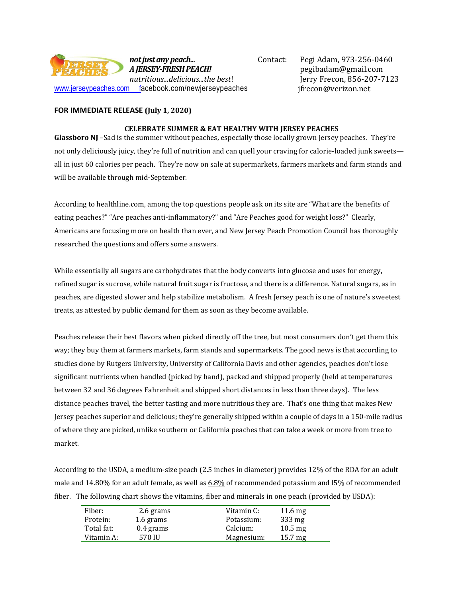

Contact: Pegi Adam, 973-256-0460 pegibadam@gmail.com Jerry Frecon, 856-207-7123 jfrecon@verizon.net

## **FOR IMMEDIATE RELEASE (July 1, 2020)**

## **CELEBRATE SUMMER & EAT HEALTHY WITH JERSEY PEACHES**

**Glassboro NJ** –Sad is the summer without peaches, especially those locally grown Jersey peaches. They're not only deliciously juicy, they're full of nutrition and can quell your craving for calorie-loaded junk sweets all in just 60 calories per peach. They're now on sale at supermarkets, farmers markets and farm stands and will be available through mid-September.

According to healthline.com, among the top questions people ask on its site are "What are the benefits of eating peaches?" "Are peaches anti-inflammatory?" and "Are Peaches good for weight loss?" Clearly, Americans are focusing more on health than ever, and New Jersey Peach Promotion Council has thoroughly researched the questions and offers some answers.

While essentially all sugars are carbohydrates that the body converts into glucose and uses for energy, refined sugar is sucrose, while natural fruit sugar is fructose, and there is a difference. Natural sugars, as in peaches, are digested slower and help stabilize metabolism. A fresh Jersey peach is one of nature's sweetest treats, as attested by public demand for them as soon as they become available.

Peaches release their best flavors when picked directly off the tree, but most consumers don't get them this way; they buy them at farmers markets, farm stands and supermarkets. The good news is that according to studies done by Rutgers University, University of California Davis and other agencies, peaches don't lose significant nutrients when handled (picked by hand), packed and shipped properly (held at temperatures between 32 and 36 degrees Fahrenheit and shipped short distances in less than three days). The less distance peaches travel, the better tasting and more nutritious they are. That's one thing that makes New Jersey peaches superior and delicious; they're generally shipped within a couple of days in a 150-mile radius of where they are picked, unlike southern or California peaches that can take a week or more from tree to market.

According to the USDA, a medium-size peach (2.5 inches in diameter) provides 12% of the RDA for an adult male and 14.80% for an adult female, as well as [6.8%](https://health.gov/dietaryguidelines/2015/guidelines/appendix-7/) of recommended potassium and l5% of recommended fiber. The following chart shows the vitamins, fiber and minerals in one peach (provided by USDA):

| Fiber:     | 2.6 grams   | Vitamin C: | $11.6 \text{ mg}$ |
|------------|-------------|------------|-------------------|
| Protein:   | 1.6 grams   | Potassium: | 333 mg            |
| Total fat: | $0.4$ grams | Calcium:   | $10.5 \text{ mg}$ |
| Vitamin A: | 570 IU      | Magnesium: | $15.7 \text{ mg}$ |